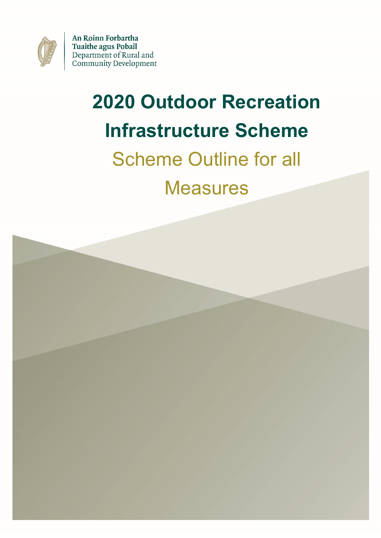

An Roinn Forbartha **Tuaithe agus Pobail** Department of Rural and **Community Development** 

# **2020 Outdoor Recreation Infrastructure Scheme**

## Scheme Outline for all

**Measures** 

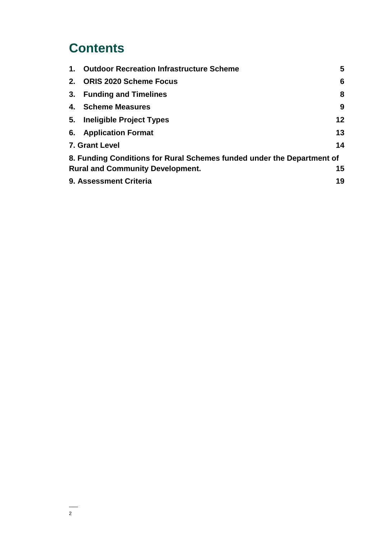### **Contents**

| 1.                                            | <b>Outdoor Recreation Infrastructure Scheme</b>                        | 5                 |  |
|-----------------------------------------------|------------------------------------------------------------------------|-------------------|--|
| 2.                                            | <b>ORIS 2020 Scheme Focus</b>                                          | 6                 |  |
| 3.                                            | <b>Funding and Timelines</b>                                           | 8                 |  |
| 4.                                            | <b>Scheme Measures</b>                                                 | 9                 |  |
| 5.                                            | <b>Ineligible Project Types</b>                                        | $12 \overline{ }$ |  |
|                                               | 6. Application Format                                                  | 13                |  |
| 14<br>7. Grant Level                          |                                                                        |                   |  |
|                                               | 8. Funding Conditions for Rural Schemes funded under the Department of |                   |  |
| 15<br><b>Rural and Community Development.</b> |                                                                        |                   |  |
|                                               | 9. Assessment Criteria<br>19                                           |                   |  |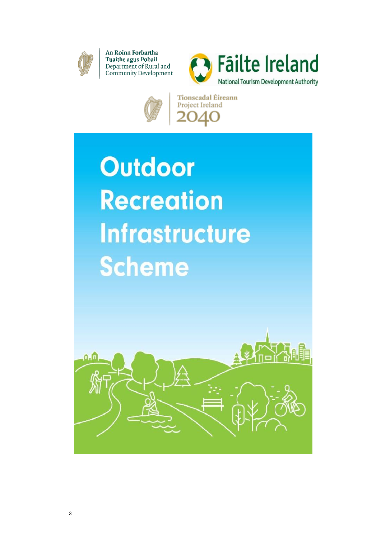

An Roinn Forbartha **Tuaithe agus Pobail** Department of Rural and Community Development





Tionscadal Éireann Project Ireland

**Outdoor Recreation Infrastructure Scheme** 

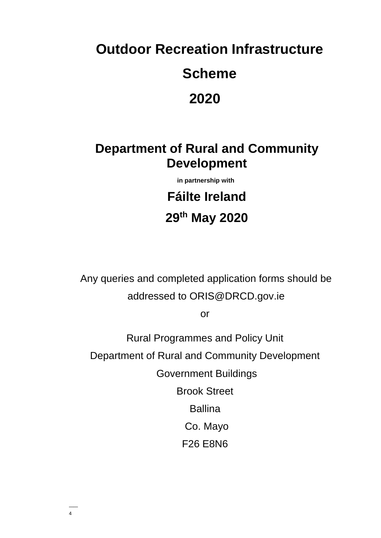### **Outdoor Recreation Infrastructure**

### **Scheme**

### 2020

### **Department of Rural and Community Development**

in partnership with

**Fáilte Ireland** 29th May 2020

Any queries and completed application forms should be addressed to ORIS@DRCD.gov.ie

**or** 

**Rural Programmes and Policy Unit** Department of Rural and Community Development **Government Buildings Brook Street Ballina** Co. Mayo

**F26 E8N6**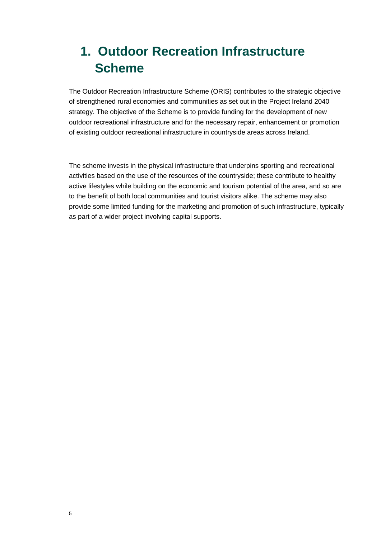### **1. Outdoor Recreation Infrastructure Scheme**

The Outdoor Recreation Infrastructure Scheme (ORIS) contributes to the strategic objective of strengthened rural economies and communities as set out in the Project Ireland 2040 strategy. The objective of the Scheme is to provide funding for the development of new outdoor recreational infrastructure and for the necessary repair, enhancement or promotion of existing outdoor recreational infrastructure in countryside areas across Ireland.

The scheme invests in the physical infrastructure that underpins sporting and recreational activities based on the use of the resources of the countryside; these contribute to healthy active lifestyles while building on the economic and tourism potential of the area, and so are to the benefit of both local communities and tourist visitors alike. The scheme may also provide some limited funding for the marketing and promotion of such infrastructure, typically as part of a wider project involving capital supports.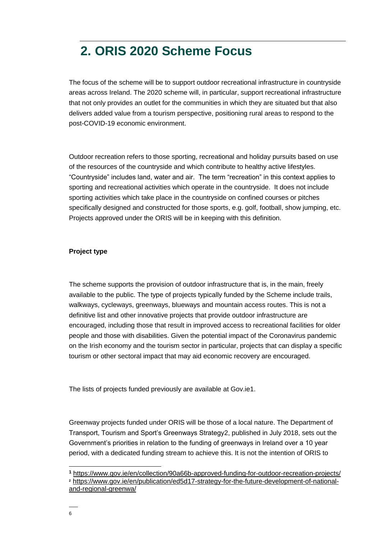### **2. ORIS 2020 Scheme Focus**

The focus of the scheme will be to support outdoor recreational infrastructure in countryside areas across Ireland. The 2020 scheme will, in particular, support recreational infrastructure that not only provides an outlet for the communities in which they are situated but that also delivers added value from a tourism perspective, positioning rural areas to respond to the post-COVID-19 economic environment.

Outdoor recreation refers to those sporting, recreational and holiday pursuits based on use of the resources of the countryside and which contribute to healthy active lifestyles. "Countryside" includes land, water and air. The term "recreation" in this context applies to sporting and recreational activities which operate in the countryside. It does not include sporting activities which take place in the countryside on confined courses or pitches specifically designed and constructed for those sports, e.g. golf, football, show jumping, etc. Projects approved under the ORIS will be in keeping with this definition.

#### **Project type**

The scheme supports the provision of outdoor infrastructure that is, in the main, freely available to the public. The type of projects typically funded by the Scheme include trails, walkways, cycleways, greenways, blueways and mountain access routes. This is not a definitive list and other innovative projects that provide outdoor infrastructure are encouraged, including those that result in improved access to recreational facilities for older people and those with disabilities. Given the potential impact of the Coronavirus pandemic on the Irish economy and the tourism sector in particular, projects that can display a specific tourism or other sectoral impact that may aid economic recovery are encouraged.

The lists of projects funded previously are available at Gov.ie1.

Greenway projects funded under ORIS will be those of a local nature. The Department of Transport, Tourism and Sport's Greenways Strategy2, published in July 2018, sets out the Government's priorities in relation to the funding of greenways in Ireland over a 10 year period, with a dedicated funding stream to achieve this. It is not the intention of ORIS to

 $\overline{a}$ 

**<sup>1</sup>** <https://www.gov.ie/en/collection/90a66b-approved-funding-for-outdoor-recreation-projects/> **<sup>2</sup>** [https://www.gov.ie/en/publication/ed5d17-strategy-for-the-future-development-of-national](https://www.gov.ie/en/publication/ed5d17-strategy-for-the-future-development-of-national-and-regional-greenwa/)[and-regional-greenwa/](https://www.gov.ie/en/publication/ed5d17-strategy-for-the-future-development-of-national-and-regional-greenwa/)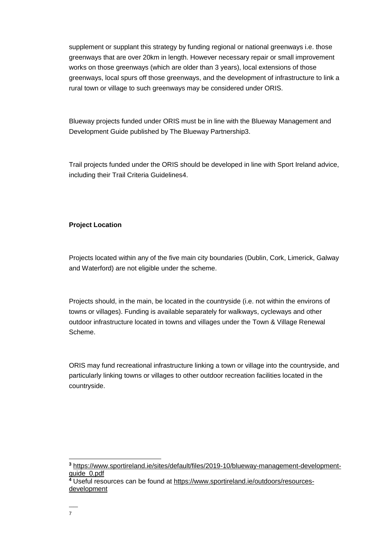supplement or supplant this strategy by funding regional or national greenways i.e. those greenways that are over 20km in length. However necessary repair or small improvement works on those greenways (which are older than 3 years), local extensions of those greenways, local spurs off those greenways, and the development of infrastructure to link a rural town or village to such greenways may be considered under ORIS.

Blueway projects funded under ORIS must be in line with the Blueway Management and Development Guide published by The Blueway Partnership3.

Trail projects funded under the ORIS should be developed in line with Sport Ireland advice, including their Trail Criteria Guidelines4.

#### **Project Location**

Projects located within any of the five main city boundaries (Dublin, Cork, Limerick, Galway and Waterford) are not eligible under the scheme.

Projects should, in the main, be located in the countryside (i.e. not within the environs of towns or villages). Funding is available separately for walkways, cycleways and other outdoor infrastructure located in towns and villages under the Town & Village Renewal Scheme.

ORIS may fund recreational infrastructure linking a town or village into the countryside, and particularly linking towns or villages to other outdoor recreation facilities located in the countryside.

 $\overline{a}$ **<sup>3</sup>** [https://www.sportireland.ie/sites/default/files/2019-10/blueway-management-development](https://www.sportireland.ie/sites/default/files/2019-10/blueway-management-development-guide_0.pdf)[guide\\_0.pdf](https://www.sportireland.ie/sites/default/files/2019-10/blueway-management-development-guide_0.pdf)

**<sup>4</sup>** Useful resources can be found at [https://www.sportireland.ie/outdoors/resources](https://www.sportireland.ie/outdoors/resources-development)[development](https://www.sportireland.ie/outdoors/resources-development)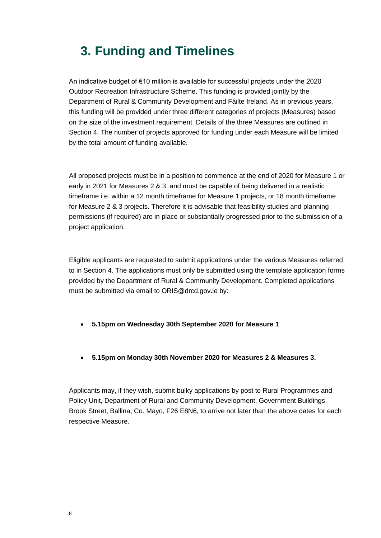### **3. Funding and Timelines**

An indicative budget of €10 million is available for successful projects under the 2020 Outdoor Recreation Infrastructure Scheme. This funding is provided jointly by the Department of Rural & Community Development and Fáilte Ireland. As in previous years, this funding will be provided under three different categories of projects (Measures) based on the size of the investment requirement. Details of the three Measures are outlined in Section 4. The number of projects approved for funding under each Measure will be limited by the total amount of funding available.

All proposed projects must be in a position to commence at the end of 2020 for Measure 1 or early in 2021 for Measures 2 & 3, and must be capable of being delivered in a realistic timeframe i.e. within a 12 month timeframe for Measure 1 projects, or 18 month timeframe for Measure 2 & 3 projects. Therefore it is advisable that feasibility studies and planning permissions (if required) are in place or substantially progressed prior to the submission of a project application.

Eligible applicants are requested to submit applications under the various Measures referred to in Section 4. The applications must only be submitted using the template application forms provided by the Department of Rural & Community Development. Completed applications must be submitted via email to ORIS@drcd.gov.ie by:

- **5.15pm on Wednesday 30th September 2020 for Measure 1**
- **5.15pm on Monday 30th November 2020 for Measures 2 & Measures 3.**

Applicants may, if they wish, submit bulky applications by post to Rural Programmes and Policy Unit, Department of Rural and Community Development, Government Buildings, Brook Street, Ballina, Co. Mayo, F26 E8N6, to arrive not later than the above dates for each respective Measure.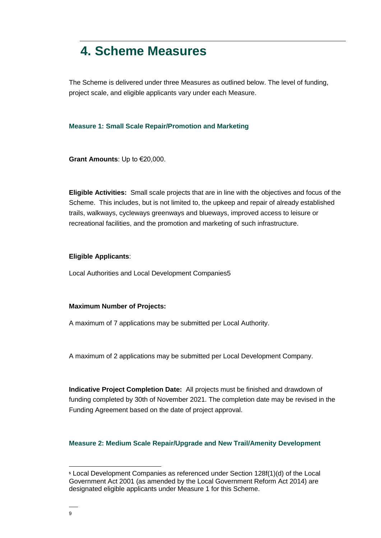### **4. Scheme Measures**

The Scheme is delivered under three Measures as outlined below. The level of funding, project scale, and eligible applicants vary under each Measure.

#### **Measure 1: Small Scale Repair/Promotion and Marketing**

**Grant Amounts**: Up to €20,000.

**Eligible Activities:** Small scale projects that are in line with the objectives and focus of the Scheme. This includes, but is not limited to, the upkeep and repair of already established trails, walkways, cycleways greenways and blueways, improved access to leisure or recreational facilities, and the promotion and marketing of such infrastructure.

#### **Eligible Applicants**:

Local Authorities and Local Development Companies5

#### **Maximum Number of Projects:**

A maximum of 7 applications may be submitted per Local Authority.

A maximum of 2 applications may be submitted per Local Development Company.

**Indicative Project Completion Date:** All projects must be finished and drawdown of funding completed by 30th of November 2021. The completion date may be revised in the Funding Agreement based on the date of project approval.

#### **Measure 2: Medium Scale Repair/Upgrade and New Trail/Amenity Development**

 $\overline{a}$ 

**<sup>5</sup>** Local Development Companies as referenced under Section 128f(1)(d) of the Local Government Act 2001 (as amended by the Local Government Reform Act 2014) are designated eligible applicants under Measure 1 for this Scheme.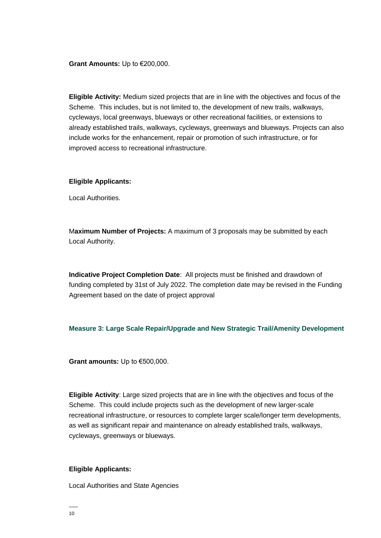**Grant Amounts:** Up to €200,000.

**Eligible Activity:** Medium sized projects that are in line with the objectives and focus of the Scheme. This includes, but is not limited to, the development of new trails, walkways, cycleways, local greenways, blueways or other recreational facilities, or extensions to already established trails, walkways, cycleways, greenways and blueways. Projects can also include works for the enhancement, repair or promotion of such infrastructure, or for improved access to recreational infrastructure.

#### **Eligible Applicants:**

Local Authorities.

M**aximum Number of Projects:** A maximum of 3 proposals may be submitted by each Local Authority.

**Indicative Project Completion Date**: All projects must be finished and drawdown of funding completed by 31st of July 2022. The completion date may be revised in the Funding Agreement based on the date of project approval

#### **Measure 3: Large Scale Repair/Upgrade and New Strategic Trail/Amenity Development**

**Grant amounts:** Up to €500,000.

**Eligible Activity**: Large sized projects that are in line with the objectives and focus of the Scheme. This could include projects such as the development of new larger-scale recreational infrastructure, or resources to complete larger scale/longer term developments, as well as significant repair and maintenance on already established trails, walkways, cycleways, greenways or blueways.

#### **Eligible Applicants:**

Local Authorities and State Agencies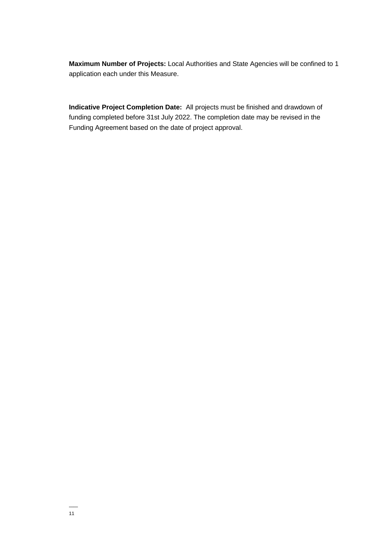Maximum Number of Projects: Local Authorities and State Agencies will be confined to 1 application each under this Measure.

Indicative Project Completion Date: All projects must be finished and drawdown of funding completed before 31st July 2022. The completion date may be revised in the Funding Agreement based on the date of project approval.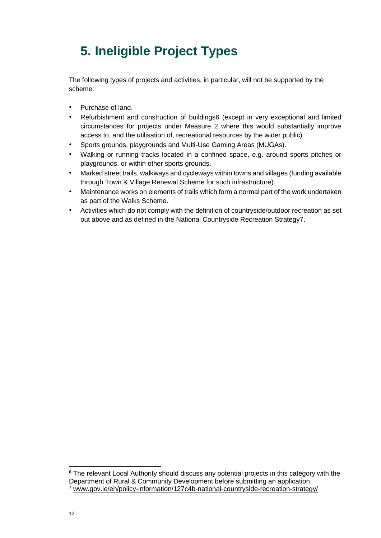### **5. Ineligible Project Types**

The following types of projects and activities, in particular, will not be supported by the scheme:

- Purchase of land.
- Refurbishment and construction of buildings6 (except in very exceptional and limited circumstances for projects under Measure 2 where this would substantially improve access to, and the utilisation of, recreational resources by the wider public).
- Sports grounds, playgrounds and Multi-Use Gaming Areas (MUGAs).
- Walking or running tracks located in a confined space, e.g. around sports pitches or playgrounds, or within other sports grounds.
- Marked street trails, walkways and cycleways within towns and villages (funding available through Town & Village Renewal Scheme for such infrastructure).
- Maintenance works on elements of trails which form a normal part of the work undertaken as part of the Walks Scheme.
- Activities which do not comply with the definition of countryside/outdoor recreation as set out above and as defined in the National Countryside Recreation Strategy7.

 $\overline{a}$ 

**<sup>6</sup>** The relevant Local Authority should discuss any potential projects in this category with the Department of Rural & Community Development before submitting an application. **<sup>7</sup>** [www.gov.ie/en/policy-information/127c4b-national-countryside-recreation-strategy/](http://www.gov.ie/en/policy-information/127c4b-national-countryside-recreation-strategy/)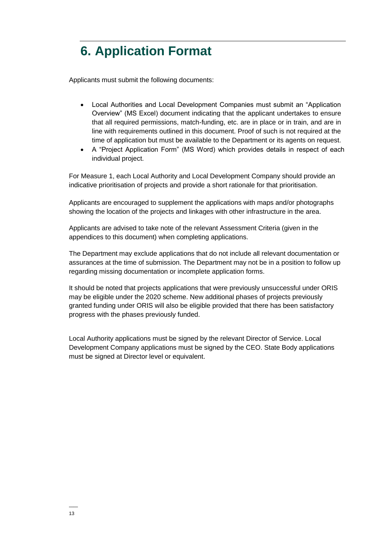### **6. Application Format**

Applicants must submit the following documents:

- Local Authorities and Local Development Companies must submit an "Application Overview" (MS Excel) document indicating that the applicant undertakes to ensure that all required permissions, match-funding, etc. are in place or in train, and are in line with requirements outlined in this document. Proof of such is not required at the time of application but must be available to the Department or its agents on request.
- A "Project Application Form" (MS Word) which provides details in respect of each individual project.

For Measure 1, each Local Authority and Local Development Company should provide an indicative prioritisation of projects and provide a short rationale for that prioritisation.

Applicants are encouraged to supplement the applications with maps and/or photographs showing the location of the projects and linkages with other infrastructure in the area.

Applicants are advised to take note of the relevant Assessment Criteria (given in the appendices to this document) when completing applications.

The Department may exclude applications that do not include all relevant documentation or assurances at the time of submission. The Department may not be in a position to follow up regarding missing documentation or incomplete application forms.

It should be noted that projects applications that were previously unsuccessful under ORIS may be eligible under the 2020 scheme. New additional phases of projects previously granted funding under ORIS will also be eligible provided that there has been satisfactory progress with the phases previously funded.

Local Authority applications must be signed by the relevant Director of Service. Local Development Company applications must be signed by the CEO. State Body applications must be signed at Director level or equivalent.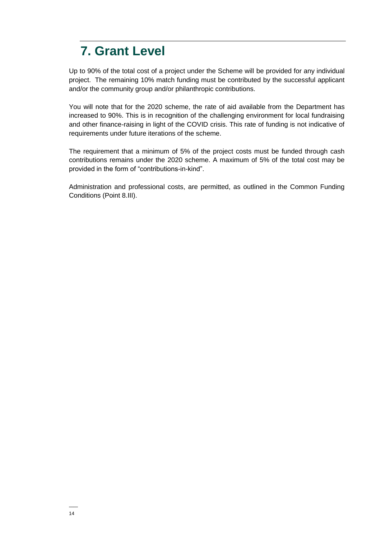### **7. Grant Level**

Up to 90% of the total cost of a project under the Scheme will be provided for any individual project. The remaining 10% match funding must be contributed by the successful applicant and/or the community group and/or philanthropic contributions.

You will note that for the 2020 scheme, the rate of aid available from the Department has increased to 90%. This is in recognition of the challenging environment for local fundraising and other finance-raising in light of the COVID crisis. This rate of funding is not indicative of requirements under future iterations of the scheme.

The requirement that a minimum of 5% of the project costs must be funded through cash contributions remains under the 2020 scheme. A maximum of 5% of the total cost may be provided in the form of "contributions-in-kind".

Administration and professional costs, are permitted, as outlined in the Common Funding Conditions (Point 8.III).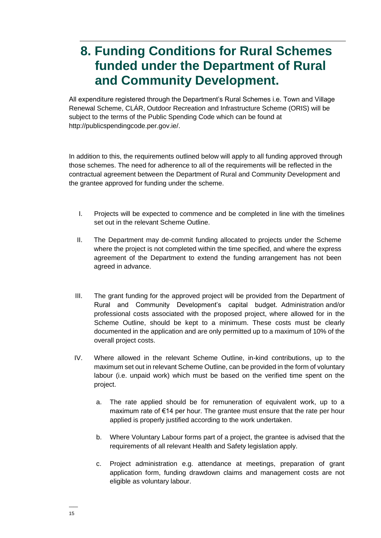### **8. Funding Conditions for Rural Schemes funded under the Department of Rural and Community Development.**

All expenditure registered through the Department's Rural Schemes i.e. Town and Village Renewal Scheme, CLÁR, Outdoor Recreation and Infrastructure Scheme (ORIS) will be subject to the terms of the Public Spending Code which can be found at [http://publicspendingcode.per.gov.ie/.](http://publicspendingcode.per.gov.ie/)

In addition to this, the requirements outlined below will apply to all funding approved through those schemes. The need for adherence to all of the requirements will be reflected in the contractual agreement between the Department of Rural and Community Development and the grantee approved for funding under the scheme.

- I. Projects will be expected to commence and be completed in line with the timelines set out in the relevant Scheme Outline.
- II. The Department may de-commit funding allocated to projects under the Scheme where the project is not completed within the time specified, and where the express agreement of the Department to extend the funding arrangement has not been agreed in advance.
- III. The grant funding for the approved project will be provided from the Department of Rural and Community Development's capital budget. Administration and/or professional costs associated with the proposed project, where allowed for in the Scheme Outline, should be kept to a minimum. These costs must be clearly documented in the application and are only permitted up to a maximum of 10% of the overall project costs.
- IV. Where allowed in the relevant Scheme Outline, in-kind contributions, up to the maximum set out in relevant Scheme Outline, can be provided in the form of voluntary labour (i.e. unpaid work) which must be based on the verified time spent on the project.
	- a. The rate applied should be for remuneration of equivalent work, up to a maximum rate of €14 per hour. The grantee must ensure that the rate per hour applied is properly justified according to the work undertaken.
	- b. Where Voluntary Labour forms part of a project, the grantee is advised that the requirements of all relevant Health and Safety legislation apply.
	- c. Project administration e.g. attendance at meetings, preparation of grant application form, funding drawdown claims and management costs are not eligible as voluntary labour.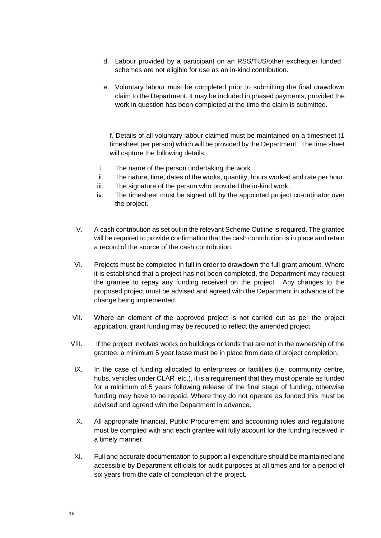- d. Labour provided by a participant on an RSS/TUS/other exchequer funded schemes are not eligible for use as an in-kind contribution.
- e. Voluntary labour must be completed prior to submitting the final drawdown claim to the Department. It may be included in phased payments, provided the work in question has been completed at the time the claim is submitted.

f. Details of all voluntary labour claimed must be maintained on a timesheet (1 timesheet per person) which will be provided by the Department. The time sheet will capture the following details:

- i. The name of the person undertaking the work
- ii. The nature, time, dates of the works, quantity, hours worked and rate per hour,
- iii. The signature of the person who provided the in-kind work,
- iv. The timesheet must be signed off by the appointed project co-ordinator over the project.
- V. A cash contribution as set out in the relevant Scheme Outline is required. The grantee will be required to provide confirmation that the cash contribution is in place and retain a record of the source of the cash contribution.
- VI. Projects must be completed in full in order to drawdown the full grant amount. Where it is established that a project has not been completed, the Department may request the grantee to repay any funding received on the project. Any changes to the proposed project must be advised and agreed with the Department in advance of the change being implemented.
- VII. Where an element of the approved project is not carried out as per the project application, grant funding may be reduced to reflect the amended project.
- VIII. If the project involves works on buildings or lands that are not in the ownership of the grantee, a minimum 5 year lease must be in place from date of project completion.
- IX. In the case of funding allocated to enterprises or facilities (i.e. community centre, hubs, vehicles under CLÁR etc.), it is a requirement that they must operate as funded for a minimum of 5 years following release of the final stage of funding, otherwise funding may have to be repaid. Where they do not operate as funded this must be advised and agreed with the Department in advance.
- X. All appropriate financial, Public Procurement and accounting rules and regulations must be complied with and each grantee will fully account for the funding received in a timely manner.
- XI. Full and accurate documentation to support all expenditure should be maintained and accessible by Department officials for audit purposes at all times and for a period of six years from the date of completion of the project.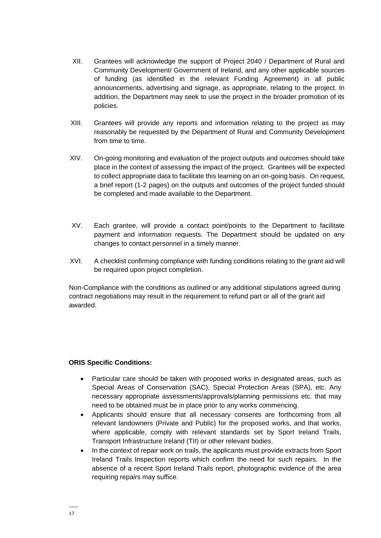- XII. Grantees will acknowledge the support of Project 2040 / Department of Rural and Community Development/ Government of Ireland, and any other applicable sources of funding (as identified in the relevant Funding Agreement) in all public announcements, advertising and signage, as appropriate, relating to the project. In addition, the Department may seek to use the project in the broader promotion of its policies.
- XIII. Grantees will provide any reports and information relating to the project as may reasonably be requested by the Department of Rural and Community Development from time to time.
- XIV. On-going monitoring and evaluation of the project outputs and outcomes should take place in the context of assessing the impact of the project. Grantees will be expected to collect appropriate data to facilitate this learning on an on-going basis. On request, a brief report (1-2 pages) on the outputs and outcomes of the project funded should be completed and made available to the Department.
- XV. Each grantee, will provide a contact point/points to the Department to facilitate payment and information requests. The Department should be updated on any changes to contact personnel in a timely manner.
- XVI. A checklist confirming compliance with funding conditions relating to the grant aid will be required upon project completion.

Non-Compliance with the conditions as outlined or any additional stipulations agreed during contract negotiations may result in the requirement to refund part or all of the grant aid awarded.

#### **ORIS Specific Conditions:**

- Particular care should be taken with proposed works in designated areas, such as Special Areas of Conservation (SAC), Special Protection Areas (SPA), etc. Any necessary appropriate assessments/approvals/planning permissions etc. that may need to be obtained must be in place prior to any works commencing.
- Applicants should ensure that all necessary consents are forthcoming from all relevant landowners (Private and Public) for the proposed works, and that works, where applicable, comply with relevant standards set by Sport Ireland Trails, Transport Infrastructure Ireland (TII) or other relevant bodies.
- In the context of repair work on trails, the applicants must provide extracts from Sport Ireland Trails Inspection reports which confirm the need for such repairs. In the absence of a recent Sport Ireland Trails report, photographic evidence of the area requiring repairs may suffice.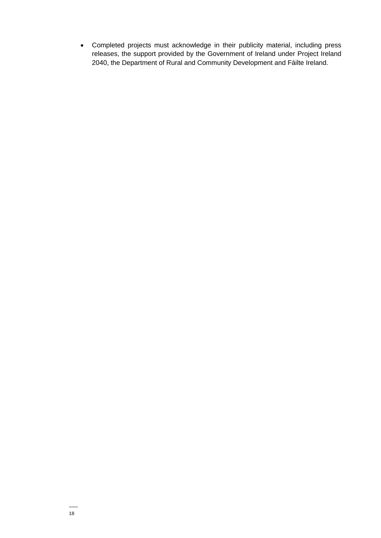• Completed projects must acknowledge in their publicity material, including press releases, the support provided by the Government of Ireland under Project Ireland 2040, the Department of Rural and Community Development and Fáilte Ireland.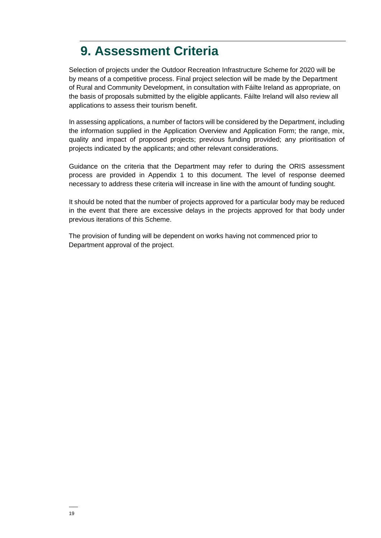### **9. Assessment Criteria**

Selection of projects under the Outdoor Recreation Infrastructure Scheme for 2020 will be by means of a competitive process. Final project selection will be made by the Department of Rural and Community Development, in consultation with Fáilte Ireland as appropriate, on the basis of proposals submitted by the eligible applicants. Fáilte Ireland will also review all applications to assess their tourism benefit.

In assessing applications, a number of factors will be considered by the Department, including the information supplied in the Application Overview and Application Form; the range, mix, quality and impact of proposed projects; previous funding provided; any prioritisation of projects indicated by the applicants; and other relevant considerations.

Guidance on the criteria that the Department may refer to during the ORIS assessment process are provided in Appendix 1 to this document. The level of response deemed necessary to address these criteria will increase in line with the amount of funding sought.

It should be noted that the number of projects approved for a particular body may be reduced in the event that there are excessive delays in the projects approved for that body under previous iterations of this Scheme.

The provision of funding will be dependent on works having not commenced prior to Department approval of the project.